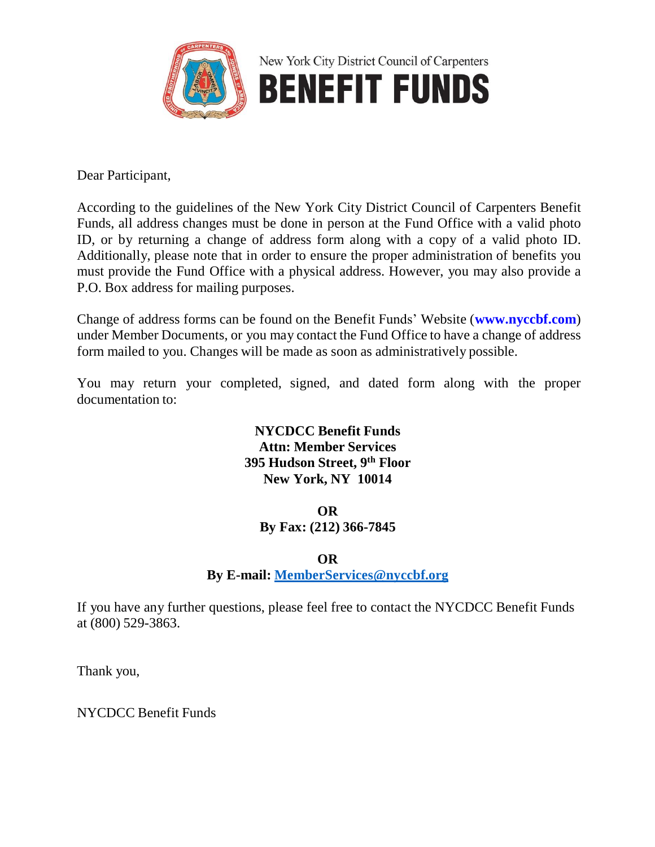

Dear Participant,

According to the guidelines of the New York City District Council of Carpenters Benefit Funds, all address changes must be done in person at the Fund Office with a valid photo ID, or by returning a change of address form along with a copy of a valid photo ID. Additionally, please note that in order to ensure the proper administration of benefits you must provide the Fund Office with a physical address. However, you may also provide a P.O. Box address for mailing purposes.

Change of address forms can be found on the Benefit Funds' Website (**www.nyccbf.com**) under Member Documents, or you may contact the Fund Office to have a change of address form mailed to you. Changes will be made as soon as administratively possible.

You may return your completed, signed, and dated form along with the proper documentation to:

## **NYCDCC Benefit Funds Attn: Member Services 395 Hudson Street, 9 th Floor New York, NY 10014**

## **OR**

**By Fax: (212) 366-7845**

## **OR**

**By E-mail: [MemberServices@nyccbf.org](mailto:MemberServices@nyccbf.org)**

If you have any further questions, please feel free to contact the NYCDCC Benefit Funds at (800) 529-3863.

Thank you,

NYCDCC Benefit Funds